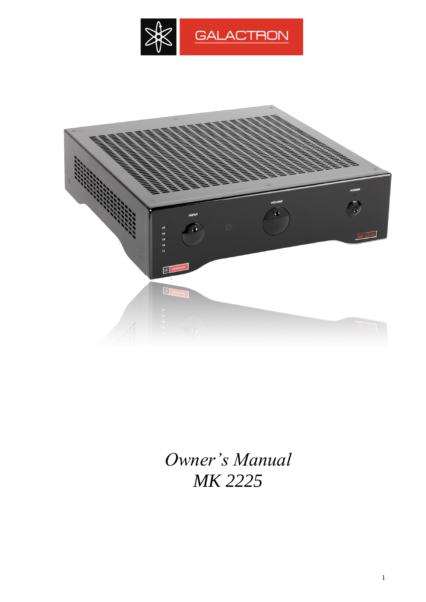



*Owner's Manual MK 2225*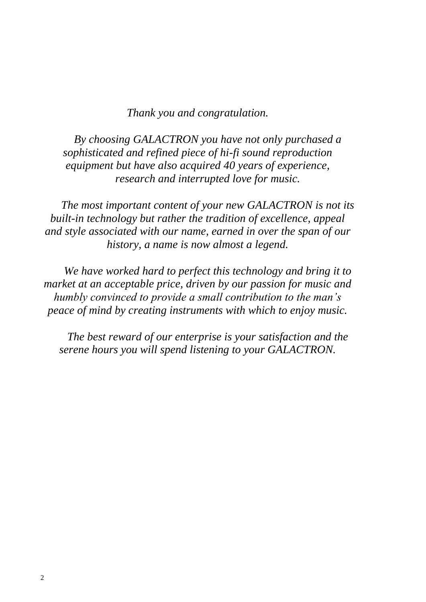# *Thank you and congratulation.*

*By choosing GALACTRON you have not only purchased a sophisticated and refined piece of hi-fi sound reproduction equipment but have also acquired 40 years of experience, research and interrupted love for music.*

*The most important content of your new GALACTRON is not its built-in technology but rather the tradition of excellence, appeal and style associated with our name, earned in over the span of our history, a name is now almost a legend.*

*We have worked hard to perfect this technology and bring it to market at an acceptable price, driven by our passion for music and humbly convinced to provide a small contribution to the man's peace of mind by creating instruments with which to enjoy music.*

*The best reward of our enterprise is your satisfaction and the serene hours you will spend listening to your GALACTRON.*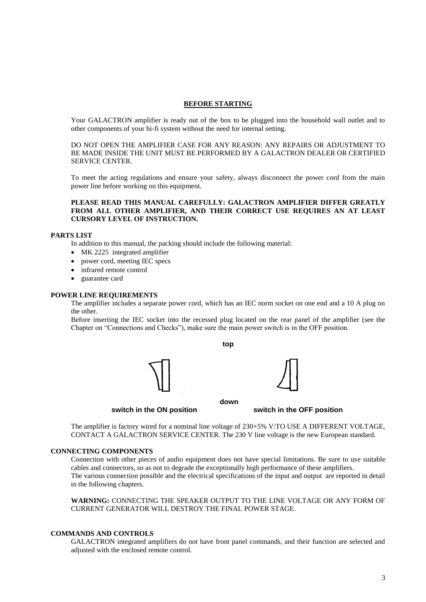#### **BEFORE STARTING**

Your GALACTRON amplifier is ready out of the box to be plugged into the household wall outlet and to other components of your hi-fi system without the need for internal setting.

DO NOT OPEN THE AMPLIFIER CASE FOR ANY REASON: ANY REPAIRS OR ADJUSTMENT TO BE MADE INSIDE THE UNIT MUST BE PERFORMED BY A GALACTRON DEALER OR CERTIFIED SERVICE CENTER.

To meet the acting regulations and ensure your safety, always disconnect the power cord from the main power line before working on this equipment.

#### **PLEASE READ THIS MANUAL CAREFULLY: GALACTRON AMPLIFIER DIFFER GREATLY FROM ALL OTHER AMPLIFIER, AND THEIR CORRECT USE REQUIRES AN AT LEAST CURSORY LEVEL OF INSTRUCTION.**

#### **PARTS LIST**

In addition to this manual, the packing should include the following material:

- MK 2225 integrated amplifier
- power cord, meeting IEC specs
- infrared remote control
- guarantee card

#### **POWER LINE REQUIREMENTS**

The amplifier includes a separate power cord, which has an IEC norm socket on one end and a 10 A plug on the other.

Before inserting the IEC socket into the recessed plug located on the rear panel of the amplifier (see the Chapter on "Connections and Checks"), make sure the main power switch is in the OFF position.

**top**



**switch in the ON position switch in the OFF position**

The amplifier is factory wired for a nominal line voltage of 230+5% V:TO USE A DIFFERENT VOLTAGE, CONTACT A GALACTRON SERVICE CENTER. The 230 V line voltage is the new European standard.

#### **CONNECTING COMPONENTS**

Connection with other pieces of audio equipment does not have special limitations. Be sure to use suitable cables and connectors, so as not to degrade the exceptionally high performance of these amplifiers. The various connection possible and the electrical specifications of the input and output are reported in detail in the following chapters.

**WARNING:** CONNECTING THE SPEAKER OUTPUT TO THE LINE VOLTAGE OR ANY FORM OF CURRENT GENERATOR WILL DESTROY THE FINAL POWER STAGE.

#### **COMMANDS AND CONTROLS**

GALACTRON integrated amplifiers do not have front panel commands, and their function are selected and adjusted with the enclosed remote control.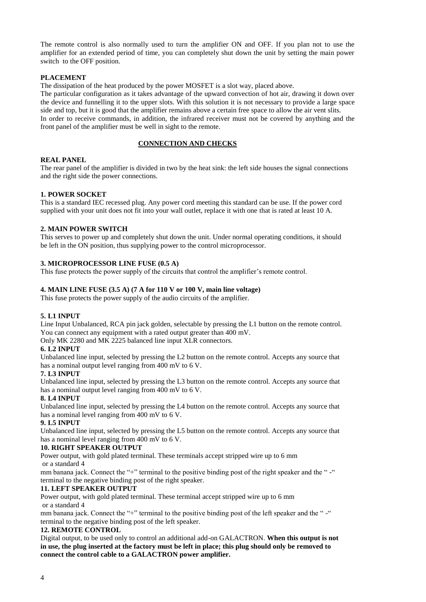The remote control is also normally used to turn the amplifier ON and OFF. If you plan not to use the amplifier for an extended period of time, you can completely shut down the unit by setting the main power switch to the OFF position.

# **PLACEMENT**

The dissipation of the heat produced by the power MOSFET is a slot way, placed above.

The particular configuration as it takes advantage of the upward convection of hot air, drawing it down over the device and funnelling it to the upper slots. With this solution it is not necessary to provide a large space side and top, but it is good that the amplifier remains above a certain free space to allow the air vent slits. In order to receive commands, in addition, the infrared receiver must not be covered by anything and the front panel of the amplifier must be well in sight to the remote.

# **CONNECTION AND CHECKS**

# **REAL PANEL**

The rear panel of the amplifier is divided in two by the heat sink: the left side houses the signal connections and the right side the power connections.

# **1. POWER SOCKET**

This is a standard IEC recessed plug. Any power cord meeting this standard can be use. If the power cord supplied with your unit does not fit into your wall outlet, replace it with one that is rated at least 10 A.

# **2. MAIN POWER SWITCH**

This serves to power up and completely shut down the unit. Under normal operating conditions, it should be left in the ON position, thus supplying power to the control microprocessor.

# **3. MICROPROCESSOR LINE FUSE (0.5 A)**

This fuse protects the power supply of the circuits that control the amplifier's remote control.

# **4. MAIN LINE FUSE (3.5 A) (7 A for 110 V or 100 V, main line voltage)**

This fuse protects the power supply of the audio circuits of the amplifier.

#### **5. L1 INPUT**

Line Input Unbalanced, RCA pin jack golden, selectable by pressing the L1 button on the remote control. You can connect any equipment with a rated output greater than 400 mV.

Only MK 2280 and MK 2225 balanced line input XLR connectors.

#### **6. L2 INPUT**

Unbalanced line input, selected by pressing the L2 button on the remote control. Accepts any source that has a nominal output level ranging from 400 mV to 6 V.

#### **7. L3 INPUT**

Unbalanced line input, selected by pressing the L3 button on the remote control. Accepts any source that has a nominal output level ranging from 400 mV to 6 V.

# **8. L4 INPUT**

Unbalanced line input, selected by pressing the L4 button on the remote control. Accepts any source that has a nominal level ranging from 400 mV to 6 V.

#### **9. L5 INPUT**

Unbalanced line input, selected by pressing the L5 button on the remote control. Accepts any source that has a nominal level ranging from 400 mV to 6 V.

#### **10. RIGHT SPEAKER OUTPUT**

Power output, with gold plated terminal. These terminals accept stripped wire up to 6 mm

# or a standard 4

mm banana jack. Connect the "+" terminal to the positive binding post of the right speaker and the " -" terminal to the negative binding post of the right speaker.

# **11. LEFT SPEAKER OUTPUT**

Power output, with gold plated terminal. These terminal accept stripped wire up to 6 mm or a standard 4

mm banana jack. Connect the "+" terminal to the positive binding post of the left speaker and the "-" terminal to the negative binding post of the left speaker.

#### **12. REMOTE CONTROL**

Digital output, to be used only to control an additional add-on GALACTRON. **When this output is not in use, the plug inserted at the factory must be left in place; this plug should only be removed to connect the control cable to a GALACTRON power amplifier.**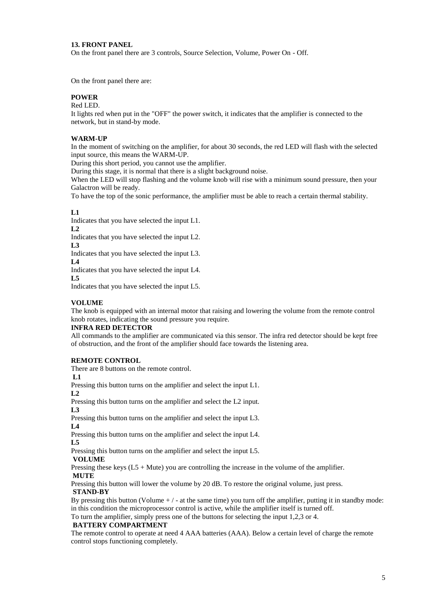#### **13. FRONT PANEL**

On the front panel there are 3 controls, Source Selection, Volume, Power On - Off.

On the front panel there are:

#### **POWER**

#### Red LED.

It lights red when put in the "OFF" the power switch, it indicates that the amplifier is connected to the network, but in stand-by mode.

#### **WARM-UP**

In the moment of switching on the amplifier, for about 30 seconds, the red LED will flash with the selected input source, this means the WARM-UP.

During this short period, you cannot use the amplifier.

During this stage, it is normal that there is a slight background noise.

When the LED will stop flashing and the volume knob will rise with a minimum sound pressure, then your Galactron will be ready.

To have the top of the sonic performance, the amplifier must be able to reach a certain thermal stability.

#### **L1**

Indicates that you have selected the input L1.

**L2** 

Indicates that you have selected the input L2.

**L3** 

Indicates that you have selected the input L3.

**L4**  Indicates that you have selected the input L4.

**L5** 

Indicates that you have selected the input L5.

#### **VOLUME**

The knob is equipped with an internal motor that raising and lowering the volume from the remote control knob rotates, indicating the sound pressure you require.

#### **INFRA RED DETECTOR**

All commands to the amplifier are communicated via this sensor. The infra red detector should be kept free of obstruction, and the front of the amplifier should face towards the listening area.

#### **REMOTE CONTROL**

There are 8 buttons on the remote control.

**L1** 

Pressing this button turns on the amplifier and select the input L1.

**L2** 

Pressing this button turns on the amplifier and select the L2 input. **L3** 

Pressing this button turns on the amplifier and select the input L3. **L4** 

Pressing this button turns on the amplifier and select the input L4. **L5** 

Pressing this button turns on the amplifier and select the input L5.

#### **VOLUME**

Pressing these keys  $(L5 + Mute)$  you are controlling the increase in the volume of the amplifier. **MUTE**

Pressing this button will lower the volume by 20 dB. To restore the original volume, just press.

# **STAND-BY**

By pressing this button (Volume  $+/-$  at the same time) you turn off the amplifier, putting it in standby mode: in this condition the microprocessor control is active, while the amplifier itself is turned off.

To turn the amplifier, simply press one of the buttons for selecting the input 1,2,3 or 4.

#### **BATTERY COMPARTMENT**

The remote control to operate at need 4 AAA batteries (AAA). Below a certain level of charge the remote control stops functioning completely.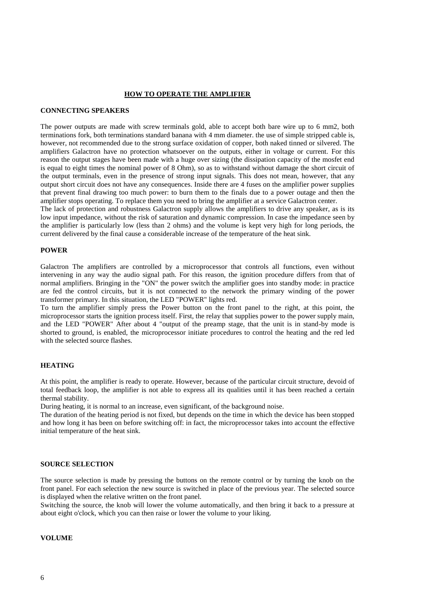#### **HOW TO OPERATE THE AMPLIFIER**

#### **CONNECTING SPEAKERS**

The power outputs are made with screw terminals gold, able to accept both bare wire up to 6 mm2, both terminations fork, both terminations standard banana with 4 mm diameter. the use of simple stripped cable is, however, not recommended due to the strong surface oxidation of copper, both naked tinned or silvered. The amplifiers Galactron have no protection whatsoever on the outputs, either in voltage or current. For this reason the output stages have been made with a huge over sizing (the dissipation capacity of the mosfet end is equal to eight times the nominal power of 8 Ohm), so as to withstand without damage the short circuit of the output terminals, even in the presence of strong input signals. This does not mean, however, that any output short circuit does not have any consequences. Inside there are 4 fuses on the amplifier power supplies that prevent final drawing too much power: to burn them to the finals due to a power outage and then the amplifier stops operating. To replace them you need to bring the amplifier at a service Galactron center.

The lack of protection and robustness Galactron supply allows the amplifiers to drive any speaker, as is its low input impedance, without the risk of saturation and dynamic compression. In case the impedance seen by the amplifier is particularly low (less than 2 ohms) and the volume is kept very high for long periods, the current delivered by the final cause a considerable increase of the temperature of the heat sink.

#### **POWER**

Galactron The amplifiers are controlled by a microprocessor that controls all functions, even without intervening in any way the audio signal path. For this reason, the ignition procedure differs from that of normal amplifiers. Bringing in the "ON" the power switch the amplifier goes into standby mode: in practice are fed the control circuits, but it is not connected to the network the primary winding of the power transformer primary. In this situation, the LED "POWER" lights red.

To turn the amplifier simply press the Power button on the front panel to the right, at this point, the microprocessor starts the ignition process itself. First, the relay that supplies power to the power supply main, and the LED "POWER" After about 4 "output of the preamp stage, that the unit is in stand-by mode is shorted to ground, is enabled, the microprocessor initiate procedures to control the heating and the red led with the selected source flashes.

#### **HEATING**

At this point, the amplifier is ready to operate. However, because of the particular circuit structure, devoid of total feedback loop, the amplifier is not able to express all its qualities until it has been reached a certain thermal stability.

During heating, it is normal to an increase, even significant, of the background noise.

The duration of the heating period is not fixed, but depends on the time in which the device has been stopped and how long it has been on before switching off: in fact, the microprocessor takes into account the effective initial temperature of the heat sink.

#### **SOURCE SELECTION**

The source selection is made by pressing the buttons on the remote control or by turning the knob on the front panel. For each selection the new source is switched in place of the previous year. The selected source is displayed when the relative written on the front panel.

Switching the source, the knob will lower the volume automatically, and then bring it back to a pressure at about eight o'clock, which you can then raise or lower the volume to your liking.

#### **VOLUME**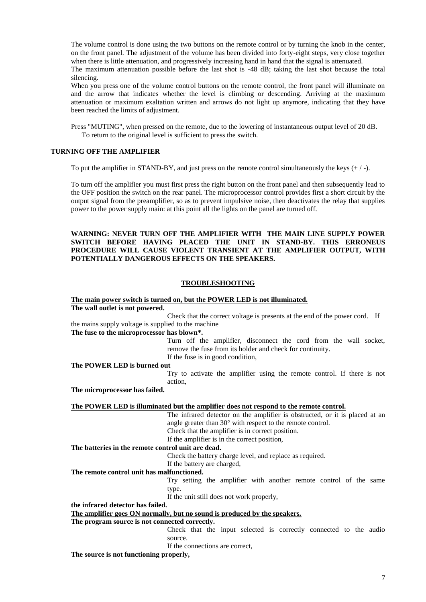The volume control is done using the two buttons on the remote control or by turning the knob in the center, on the front panel. The adjustment of the volume has been divided into forty-eight steps, very close together when there is little attenuation, and progressively increasing hand in hand that the signal is attenuated. The maximum attenuation possible before the last shot is -48 dB; taking the last shot because the total

silencing.

When you press one of the volume control buttons on the remote control, the front panel will illuminate on and the arrow that indicates whether the level is climbing or descending. Arriving at the maximum attenuation or maximum exaltation written and arrows do not light up anymore, indicating that they have been reached the limits of adjustment.

Press "MUTING", when pressed on the remote, due to the lowering of instantaneous output level of 20 dB. To return to the original level is sufficient to press the switch.

#### **TURNING OFF THE AMPLIFIER**

To put the amplifier in STAND-BY, and just press on the remote control simultaneously the keys  $(+/-)$ .

To turn off the amplifier you must first press the right button on the front panel and then subsequently lead to the OFF position the switch on the rear panel. The microprocessor control provides first a short circuit by the output signal from the preamplifier, so as to prevent impulsive noise, then deactivates the relay that supplies power to the power supply main: at this point all the lights on the panel are turned off.

#### **WARNING: NEVER TURN OFF THE AMPLIFIER WITH THE MAIN LINE SUPPLY POWER SWITCH BEFORE HAVING PLACED THE UNIT IN STAND-BY. THIS ERRONEUS PROCEDURE WILL CAUSE VIOLENT TRANSIENT AT THE AMPLIFIER OUTPUT, WITH POTENTIALLY DANGEROUS EFFECTS ON THE SPEAKERS.**

# **TROUBLESHOOTING**

# **The main power switch is turned on, but the POWER LED is not illuminated.**

**The wall outlet is not powered.**

Check that the correct voltage is presents at the end of the power cord. If the mains supply voltage is supplied to the machine

#### **The fuse to the microprocessor has blown\*.**

Turn off the amplifier, disconnect the cord from the wall socket, remove the fuse from its holder and check for continuity. If the fuse is in good condition,

**The POWER LED is burned out**

Try to activate the amplifier using the remote control. If there is not action,

**The microprocessor has failed.**

#### **The POWER LED is illuminated but the amplifier does not respond to the remote control.**

The infrared detector on the amplifier is obstructed, or it is placed at an angle greater than 30° with respect to the remote control.

Check that the amplifier is in correct position.

If the amplifier is in the correct position,

**The batteries in the remote control unit are dead.**

Check the battery charge level, and replace as required.

If the battery are charged,

#### **The remote control unit has malfunctioned.**

Try setting the amplifier with another remote control of the same type.

If the unit still does not work properly,

**the infrared detector has failed.**

**The amplifier goes ON normally, but no sound is produced by the speakers.**

**The program source is not connected correctly.**

Check that the input selected is correctly connected to the audio source.

If the connections are correct,

**The source is not functioning properly,**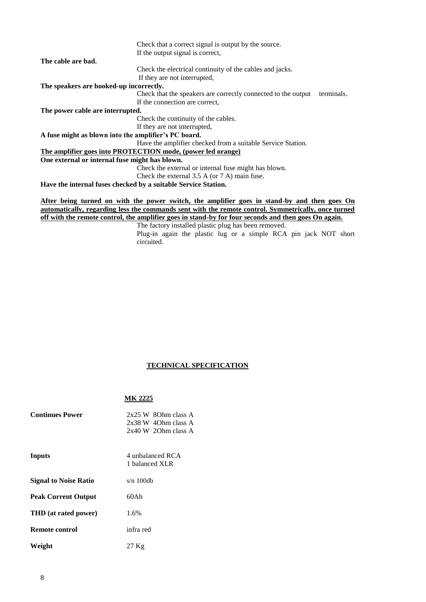|                                                      | Check that a correct signal is output by the source.                                        |
|------------------------------------------------------|---------------------------------------------------------------------------------------------|
|                                                      | If the output signal is correct,                                                            |
| The cable are bad.                                   |                                                                                             |
|                                                      | Check the electrical continuity of the cables and jacks.                                    |
|                                                      | If they are not interrupted,                                                                |
| The speakers are hooked-up incorrectly.              |                                                                                             |
|                                                      | Check that the speakers are correctly connected to the output<br>terminals.                 |
|                                                      | If the connection are correct.                                                              |
| The power cable are interrupted.                     |                                                                                             |
|                                                      | Check the continuity of the cables.                                                         |
|                                                      | If they are not interrupted,                                                                |
| A fuse might as blown into the amplifier's PC board. |                                                                                             |
|                                                      | Have the amplifier checked from a suitable Service Station.                                 |
|                                                      | The amplifier goes into PROTECTION mode, (power led orange)                                 |
| One external or internal fuse might has blown.       |                                                                                             |
|                                                      | Check the external or internal fuse might has blown.                                        |
|                                                      | Check the external $3.5$ A (or $7$ A) main fuse.                                            |
|                                                      | Have the internal fuses checked by a suitable Service Station.                              |
|                                                      |                                                                                             |
|                                                      | After being turned on with the power switch, the amplifier goes in stand-by and then goes O |

**After being turned on with the power switch, the amplifier goes in stand-by and then goes On automatically, regarding less the commands sent with the remote control. Symmetrically, once turned off with the remote control, the amplifier goes in stand-by for four seconds and then goes On again.**

The factory installed plastic plug has been removed. Plug-in again the plastic lug or a simple RCA pin jack NOT short circuited.

# **TECHNICAL SPECIFICATION**

# **MK 2225**

| <b>Continues Power</b>       | $2x25$ W 80hm class A<br>2x38 W 40hm class A<br>$2x40 \text{ W } 20$ hm class A |
|------------------------------|---------------------------------------------------------------------------------|
| Inputs                       | 4 unbalanced RCA<br>1 balanced XLR                                              |
| <b>Signal to Noise Ratio</b> | $s/n$ 100db                                                                     |
| <b>Peak Current Output</b>   | 60Ah                                                                            |
| <b>THD</b> (at rated power)  | 1.6%                                                                            |
| Remote control               | infra red                                                                       |
| Weight                       | 27 <sub>Kg</sub>                                                                |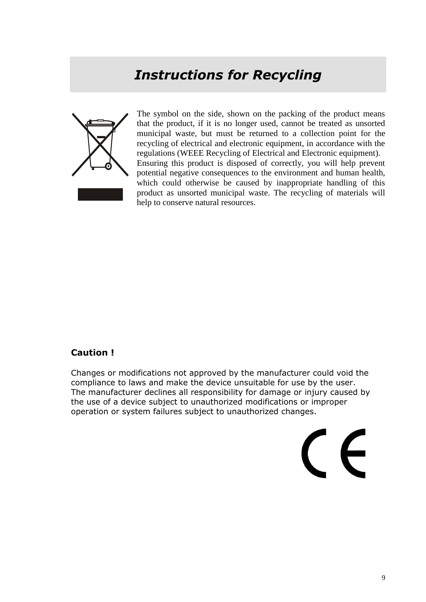# *Instructions for Recycling*



The symbol on the side, shown on the packing of the product means that the product, if it is no longer used, cannot be treated as unsorted municipal waste, but must be returned to a collection point for the recycling of electrical and electronic equipment, in accordance with the regulations (WEEE Recycling of Electrical and Electronic equipment). Ensuring this product is disposed of correctly, you will help prevent potential negative consequences to the environment and human health, which could otherwise be caused by inappropriate handling of this product as unsorted municipal waste. The recycling of materials will help to conserve natural resources.

# **Caution !**

Changes or modifications not approved by the manufacturer could void the compliance to laws and make the device unsuitable for use by the user. The manufacturer declines all responsibility for damage or injury caused by the use of a device subject to unauthorized modifications or improper operation or system failures subject to unauthorized changes.

 $\epsilon$